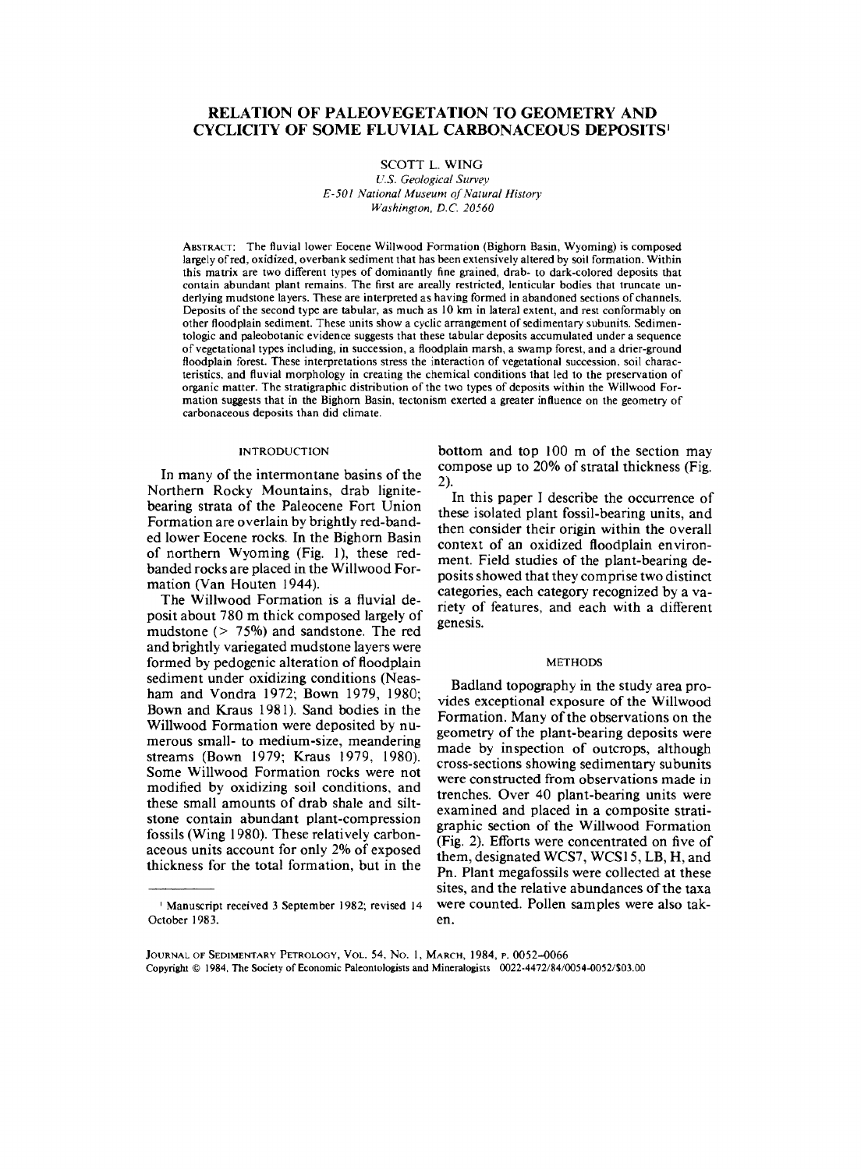# RELATION OF PALEOVEGETATION TO GEOMETRY AND CYCLICITY OF SOME FLUVIAL CARBONACEOUS DEPOSITS'

SCOTT L. WING *U.S. Geological Survey E-501 National Museum of Natural History Washington, B.C. 20560*

ABSTRACT: The fluvial lower Eocene Willwood Formation (Bighorn Basin, Wyoming) is composed largely ofred, oxidized, overbank sediment that has been extensively altered by soil formation. Within this matrix are two different types of dominantly fine grained, drab- to dark-colored deposits that contain abundant plant remains. The first are areally restricted, lenticular bodies that truncate underlying mudstone layers. These are interpreted as having formed in abandoned sections of channels. Deposits of the second type are tabular, as much as 10 km in lateral extent, and rest conformably on other floodplain sediment. These units show a cyclic arrangement of sedimentary subunits. Sedimentologic and paleobotanic evidence suggests that these tabular deposits accumulated under a sequence of vegetational types including, in succession, a floodplain marsh, a swamp forest, and a drier-ground floodplain forest. These interpretations stress the interaction of vegetational succession, soil characteristics, and fluvial morphology in creating the chemical conditions that led to the preservation of organic matter. The stratigraphic distribution of the two types of deposits within the Willwood Formation suggests that in the Bighorn Basin, tectonism exerted a greater influence on the geometry of carbonaceous deposits than did climate.

#### INTRODUCTION

In many of the intermontane basins of the Northern Rocky Mountains, drab lignitebearing strata of the Paleocene Fort Union Formation are overlain by brightly red-banded lower Eocene rocks. In the Bighorn Basin of northern Wyoming (Fig. 1), these redbanded rocks are placed in the Willwood Formation (Van Houten 1944).

The Willwood Formation is a fluvial deposit about 780 m thick composed largely of mudstone (> 75%) and sandstone. The red and brightly variegated mudstone layers were formed by pedogenic alteration of floodplain sediment under oxidizing conditions (Neasham and Vondra 1972; Sown 1979, 1980; Bown and Kraus 1981). Sand bodies in the Willwood Formation were deposited by numerous small- to medium-size, meandering streams (Bown 1979; Kraus 1979, 1980). Some Willwood Formation rocks were not modified by oxidizing soil conditions, and these small amounts of drab shale and siltstone contain abundant plant-compression fossils (Wing 1980). These relatively carbonaceous units account for only 2% of exposed thickness for the total formation, but in the

bottom and top 100 m of the section may compose up to 20% of stratal thickness (Fig. 2).

In this paper I describe the occurrence of these isolated plant fossil-bearing units, and then consider their origin within the overall context of an oxidized floodplain environment. Field studies of the plant-bearing deposits showed that they comprise two distinct categories, each category recognized by a variety of features, and each with a different genesis.

### METHODS

Badland topography in the study area provides exceptional exposure of the Willwood Formation. Many of the observations on the geometry of the plant-bearing deposits were made by inspection of outcrops, although cross-sections showing sedimentary subunits were constructed from observations made in trenches. Over 40 plant-bearing units were examined and placed in a composite stratigraphic section of the Willwood Formation (Fig. 2). Efforts were concentrated on five of them, designated WCS7, WCS15, LB, H, and Pn. Plant megafossils were collected at these sites, and the relative abundances of the taxa were counted. Pollen samples were also taken.

<sup>1</sup> Manuscript received 3 September 1982; revised 14 October 1983.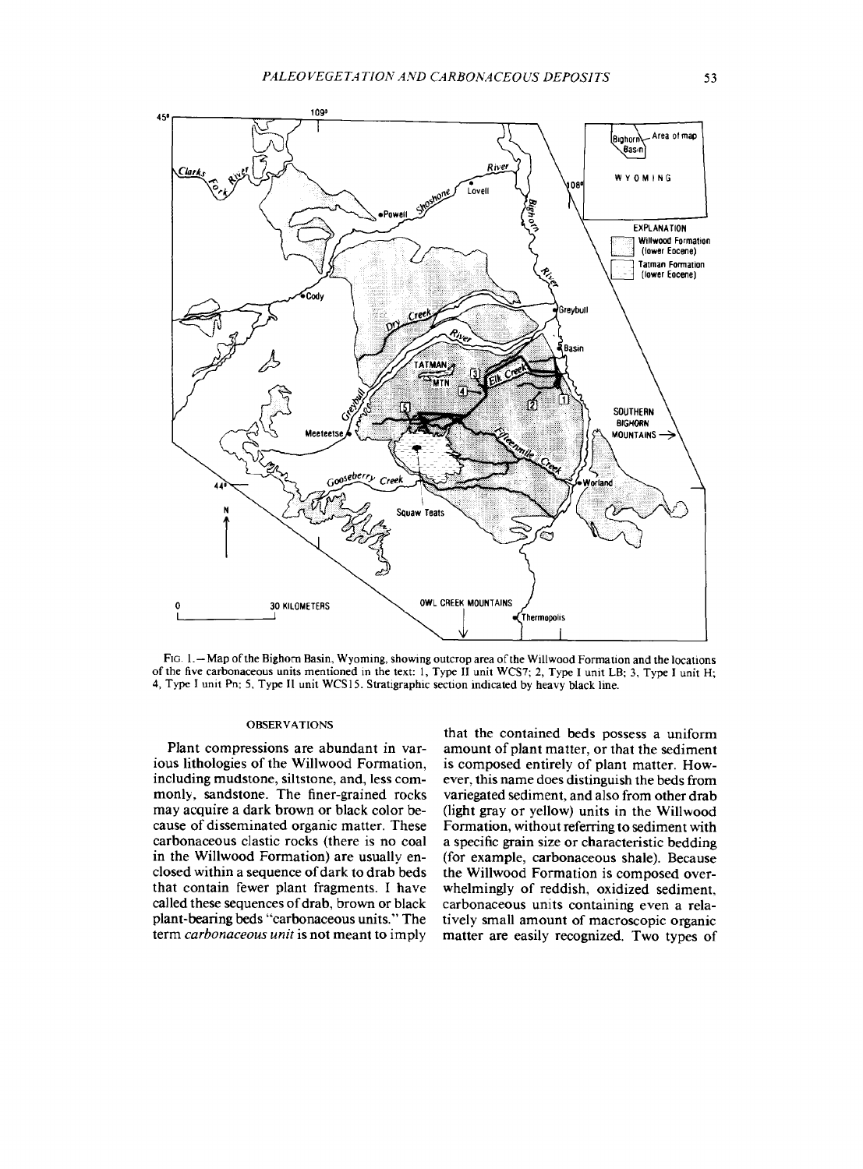

FIG. 1.—Map of the Bighorn Basin, Wyoming, showing outcrop area of the Willwood Formation and the locations of the five carbonaceous units mentioned in the text: 1, Type II unit WCS7; 2, Type I unit LB; 3, Type I unit H; 4, Type I unit Pn; 5, Type II unit WCS15. Stratigraphic section indicated by heavy black line.

### OBSERVATIONS

Plant compressions are abundant in various lithologies of the Willwood Formation, including mudstone, siltstone, and, less commonly, sandstone. The finer-grained rocks may acquire a dark brown or black color because of disseminated organic matter. These carbonaceous clastic rocks (there is no coal in the Willwood Formation) are usually enclosed within a sequence of dark to drab beds that contain fewer plant fragments. I have called these sequences of drab, brown or black plant-bearing beds "carbonaceous units." The term *carbonaceous unit* is not meant to imply

that the contained beds possess a uniform amount of plant matter, or that the sediment is composed entirely of plant matter. However, this name does distinguish the beds from variegated sediment, and also from other drab (light gray or yellow) units in the Willwood Formation, without referring to sediment with a specific grain size or characteristic bedding (for example, carbonaceous shale). Because the Willwood Formation is composed overwhelmingly of reddish, oxidized sediment, carbonaceous units containing even a relatively small amount of macroscopic organic matter are easily recognized. Two types of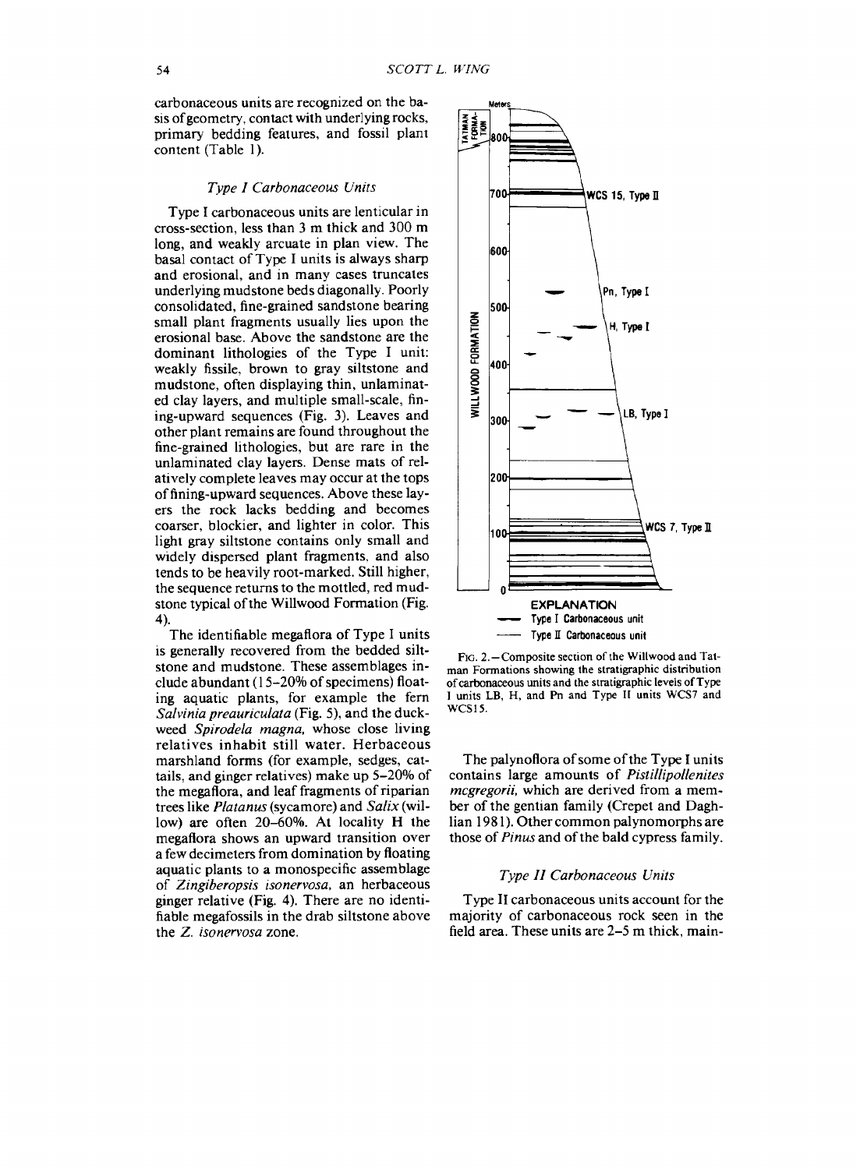carbonaceous units are recognized on the basis ofgeometry, contact with underlying rocks, primary bedding features, and fossil plant content (Table 1).

#### *Type I Carbonaceous Units*

Type I carbonaceous units are lenticular in cross-section, less than 3 m thick and 300 m long, and weakly arcuate in plan view. The basal contact of Type I units is always sharp and erosional, and in many cases truncates underlying mudstone beds diagonally. Poorly consolidated, fine-grained sandstone bearing small plant fragments usually lies upon the erosional base. Above the sandstone are the dominant lithologies of the Type I unit: weakly fissile, brown to gray siltstone and mudstone, often displaying thin, unlaminated clay layers, and multiple small-scale, fining-upward sequences (Fig. 3). Leaves and other plant remains are found throughout the fine-grained lithologies, but are rare in the unlaminated clay layers. Dense mats of relatively complete leaves may occur at the tops of fining-upward sequences. Above these layers the rock lacks bedding and becomes coarser, blockier, and lighter in color. This light gray siltstone contains only small and widely dispersed plant fragments, and also tends to be heavily root-marked. Still higher, the sequence returns to the mottled, red mudstone typical of the Willwood Formation (Fig. 4).

The identifiable megaflora of Type I units is generally recovered from the bedded siltstone and mudstone. These assemblages include abundant  $(15-20\%$  of specimens) floating aquatic plants, for example the fern *Salvinia preauriculata* (Fig. 5), and the duckweed *Spirodela magna,* whose close living relatives inhabit still water. Herbaceous marshland forms (for example, sedges, cattails, and ginger relatives) make up 5-20% of the megaflora, and leaf fragments of riparian trees like *Platanus* (sycamore) and *Salix* (willow) are often 20-60%. At locality H the megaflora shows an upward transition over a few decimeters from domination by floating aquatic plants to a monospecific assemblage of *Zingiberopsis isonervosa,* an herbaceous ginger relative (Fig. 4). There are no identifiable megafossils in the drab siltstone above the Z. *isonervosa* zone.



FIG. 2.—Composite section of the Willwood and Tatman Formations showing the stratigraphic distribution of carbonaceous units and the stratigraphic levels ofType I units LB, H, and Pn and Type II units WCS7 and WCS15.

The palynoflora of some of the Type I units contains large amounts of *Pistillipollenites mcgregorii,* which are derived from a member of the gentian family (Crepet and Daghlian 1981). Other common palynomorphs are those of *Pinus* and of the bald cypress family.

## *Type 11 Carbonaceous Units*

Type II carbonaceous units account for the majority of carbonaceous rock seen in the field area. These units are 2-5 m thick, main-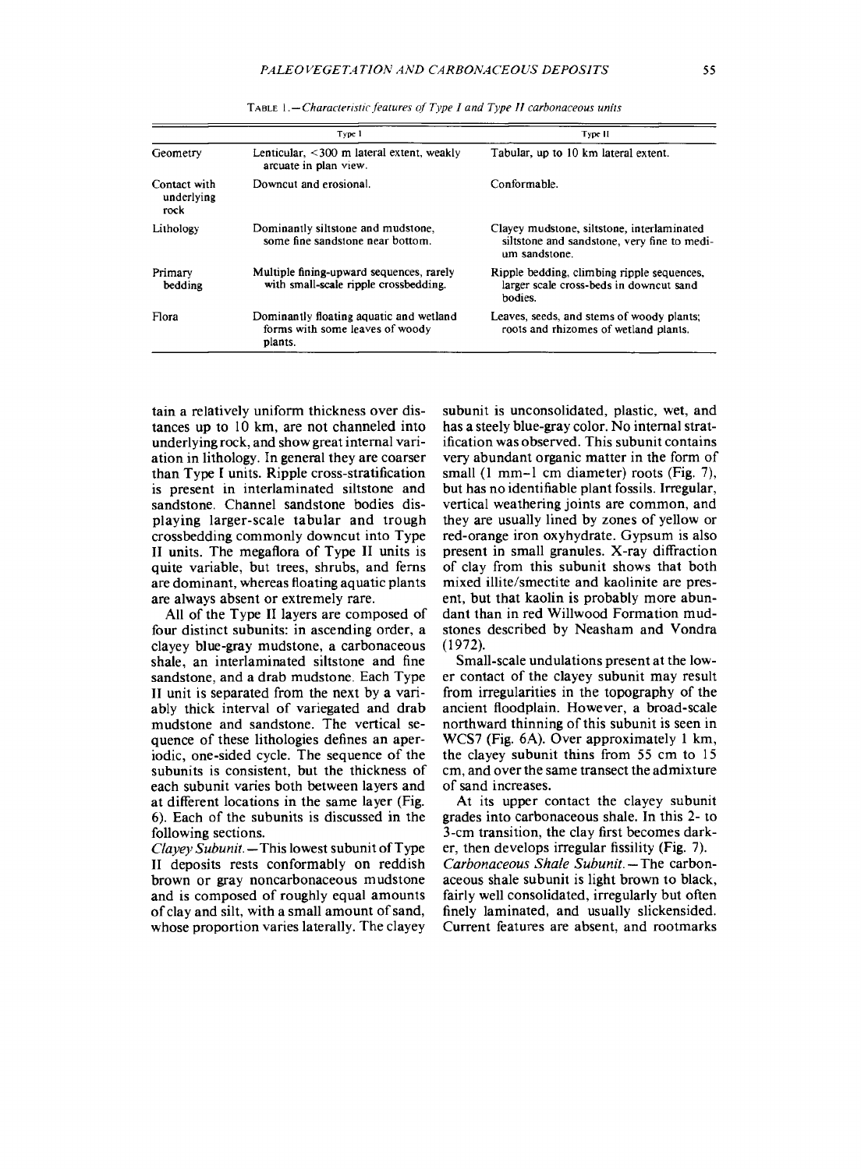|                                    | Type 1                                                                                | Type II                                                                                                    |
|------------------------------------|---------------------------------------------------------------------------------------|------------------------------------------------------------------------------------------------------------|
| Geometry                           | Lenticular, <300 m lateral extent, weakly<br>arcuate in plan view.                    | Tabular, up to 10 km lateral extent.                                                                       |
| Contact with<br>underlying<br>rock | Downcut and erosional.                                                                | Conformable.                                                                                               |
| Lithology                          | Dominantly siltstone and mudstone,<br>some fine sandstone near bottom.                | Clayey mudstone, siltstone, interlaminated<br>siltstone and sandstone, very fine to medi-<br>um sandstone. |
| Primary<br>bedding                 | Multiple fining-upward sequences, rarely<br>with small-scale ripple crossbedding.     | Ripple bedding, climbing ripple sequences,<br>larger scale cross-beds in downcut sand<br>hodies.           |
| Flora                              | Dominantly floating aquatic and wetland<br>forms with some leaves of woody<br>plants. | Leaves, seeds, and stems of woody plants.<br>roots and rhizomes of wetland plants.                         |

TABLE <sup>1</sup> *.—Characteristic features of Type I and Type II carbonaceous units*

tain a relatively uniform thickness over distances up to 10 km, are not channeled into underlying rock, and show greatinternal variation in lithology. In general they are coarser than Type I units. Ripple cross-stratification is present in interlaminated siltstone and sandstone. Channel sandstone bodies displaying larger-scale tabular and trough crossbedding commonly downcut into Type II units. The megaflora of Type II units is quite variable, but trees, shrubs, and ferns are dominant, whereas floating aquatic plants are always absent or extremely rare.

All of the Type II layers are composed of four distinct subunits: in ascending order, a clayey blue-gray mudstone, a carbonaceous shale, an interlaminated siltstone and fine sandstone, and a drab mudstone. Each Type II unit is separated from the next by a variably thick interval of variegated and drab mudstone and sandstone. The vertical sequence of these lithologies defines an aperiodic, one-sided cycle. The sequence of the subunits is consistent, but the thickness of each subunit varies both between layers and at different locations in the same layer (Fig. 6). Each of the subunits is discussed in the following sections.

*Clayey Subunit.* — This lowest subunit of Type II deposits rests conformably on reddish brown or gray noncarbonaceous mudstone and is composed of roughly equal amounts of clay and silt, with a small amount ofsand, whose proportion varies laterally. The clayey

subunit is unconsolidated, plastic, wet, and has a steely blue-gray color. No internal stratification was observed. This subunit contains very abundant organic matter in the form of small (1 mm-1 cm diameter) roots (Fig. 7), but has no identifiable plant fossils. Irregular, vertical weathering joints are common, and they are usually lined by zones of yellow or red-orange iron oxyhydrate. Gypsum is also present in small granules. X-ray diffraction of clay from this subunit shows that both mixed illite/smectite and kaolinite are present, but that kaolin is probably more abundant than in red Willwood Formation mudstones described by Neasham and Vondra (1972).

Small-scale undulations present at the lower contact of the clayey subunit may result from irregularities in the topography of the ancient floodplain. However, a broad-scale northward thinning of this subunit is seen in WCS7 (Fig. 6A). Over approximately <sup>1</sup> km, the clayey subunit thins from 55 cm to 15 cm, and overthe same transect the admixture of sand increases.

At its upper contact the clayey subunit grades into carbonaceous shale. In this 2- to 3-cm transition, the clay first becomes darker, then develops irregular fissility (Fig. 7). *Carbonaceous Shale Subunit. —* The carbonaceous shale subunit is light brown to black, fairly well consolidated, irregularly but often finely laminated, and usually slickensided. Current features are absent, and rootmarks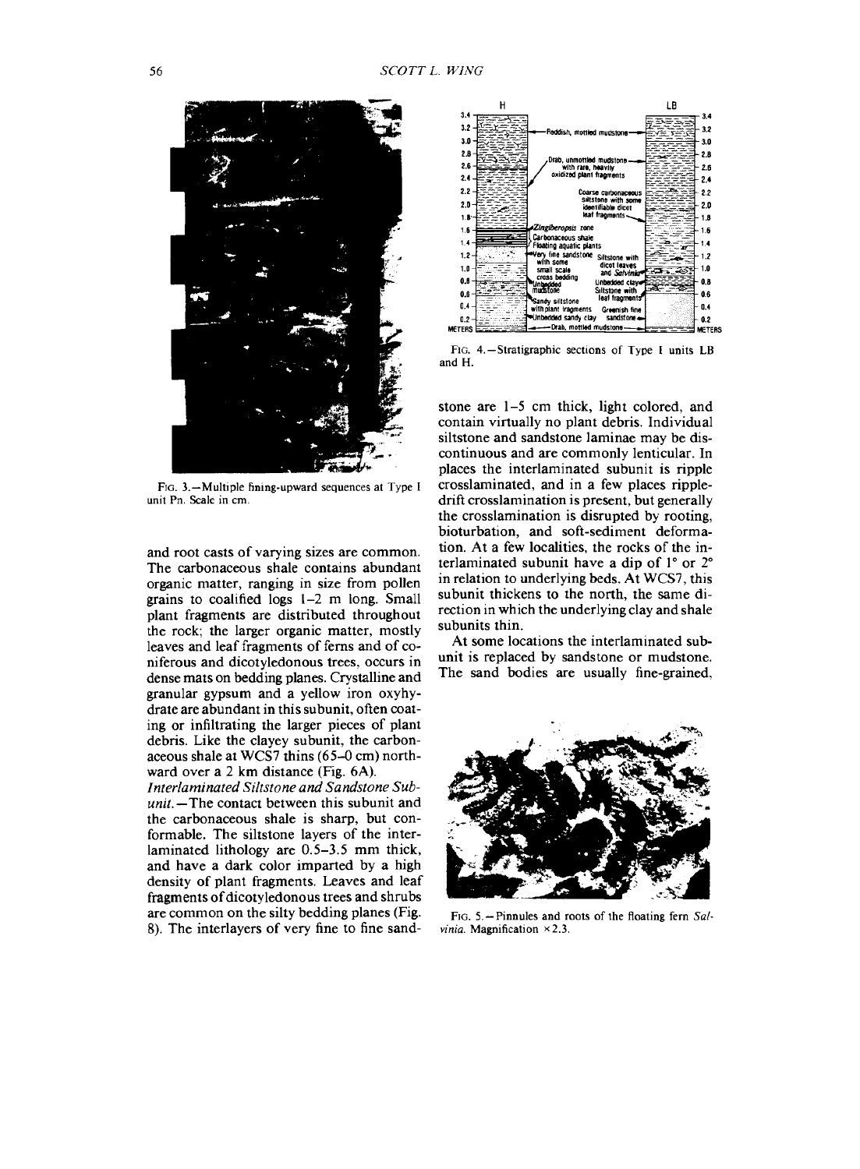

FIG. 3.—Multiple fining-upward sequences at Type I unit Pn. Scale in cm.

and root casts of varying sizes are common. The carbonaceous shale contains abundant organic matter, ranging in size from pollen grains to coalified logs 1-2 m long. Small plant fragments are distributed throughout the rock; the larger organic matter, mostly leaves and leaf fragments of ferns and of coniferous and dicotyledonous trees, occurs in dense mats on bedding planes. Crystalline and granular gypsum and a yellow iron oxyhydrate are abundant in this subunit, often coating or infiltrating the larger pieces of plant debris. Like the clayey subunit, the carbonaceous shale at WCS7 thins (65-0 cm) northward over a 2 km distance (Fig. 6A).

*Interlaminated Siltstone and Sandstone Subunit.—*The contact between this subunit and the carbonaceous shale is sharp, but conformable. The siltstone layers of the interlaminated lithology are 0.5-3.5 mm thick, and have a dark color imparted by a high density of plant fragments. Leaves and leaf fragments of dicotyledonous trees and shrubs are common on the silty bedding planes (Fig. 8). The interlayers of very fine to fine sand-



FIG. 4.—Stratigraphic sections of Type I units LB and H.

stone are 1-5 cm thick, light colored, and contain virtually no plant debris. Individual siltstone and sandstone laminae may be discontinuous and are commonly lenticular. In places the interlaminated subunit is ripple crosslaminated, and in a few places rippledrift crosslamination is present, but generally the crosslamination is disrupted by rooting, bioturbation, and soft-sediment deformation. At a few localities, the rocks of the interlaminated subunit have a dip of 1° or 2° in relation to underlying beds. At WCS7, this subunit thickens to the north, the same direction in which the underlying clay and shale subunits thin.

At some locations the interlaminated subunit is replaced by sandstone or mudstone. The sand bodies are usually fine-grained,



FIG. 5. —Pinnules and roots of the floating fern *Sal*vinia. Magnification ×2.3.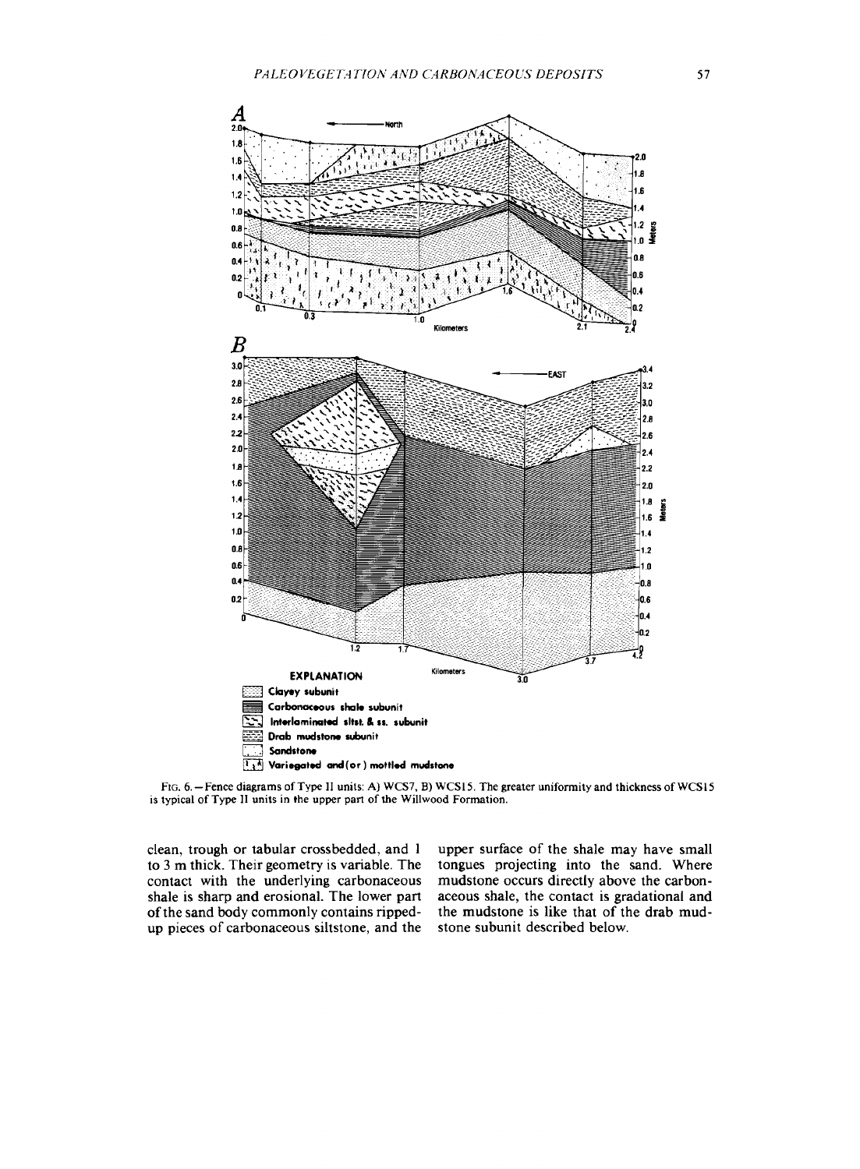

FIG. 6. —Fence diagrams ofType II units: A) WCS7, B) WCS15. The greater uniformity and thickness of WCS15 is typical of Type II units in the upper part of the Willwood Formation.

clean, trough or tabular crossbedded, and <sup>1</sup> to 3 m thick. Their geometry is variable. The contact with the underlying carbonaceous shale is sharp and erosional. The lower part of the sand body commonly contains rippedup pieces of carbonaceous siltstone, and the upper surface of the shale may have small tongues projecting into the sand. Where mudstone occurs directly above the carbonaceous shale, the contact is gradational and the mudstone is like that of the drab mudstone subunit described below.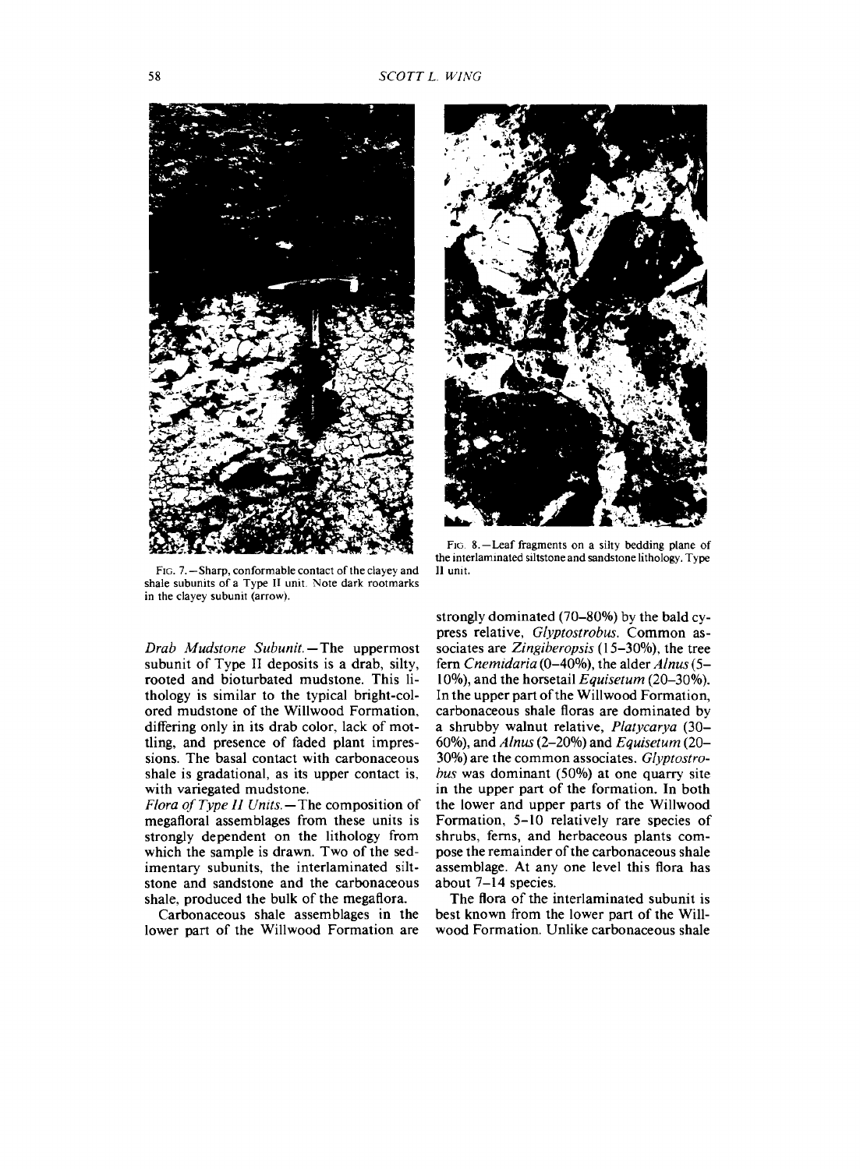

FIG. 7.—Sharp, conformable contact of the clayey and shale subunits of a Type II unit. Note dark rootmarks in the clayey subunit (arrow).

*Drab Mudstone Subunit. —* The uppermost subunit of Type II deposits is a drab, silty, rooted and bioturbated mudstone. This lithology is similar to the typical bright-colored mudstone of the Willwood Formation, differing only in its drab color, lack of mottling, and presence of faded plant impressions. The basal contact with carbonaceous shale is gradational, as its upper contact is, with variegated mudstone.

*Flora of Type II Units.—The* composition of megafloral assemblages from these units is strongly dependent on the lithology from which the sample is drawn. Two of the sedimentary subunits, the interlaminated siltstone and sandstone and the carbonaceous shale, produced the bulk of the megaflora.

Carbonaceous shale assemblages in the lower part of the Willwood Formation are



FIG. 8.—Leaf fragments on a silty bedding plane of the interlaminated siltstone and sandstone lithology. Type II unit.

strongly dominated (70-80%) by the bald cypress relative, *Glyptostrobus.* Common associates are *Zingiberopsis* (15-30%), the tree fern *Cnemidaria* (0-40%), the alder *Alnus* (5- 10%), and the horsetail *Equisetum* (20-30%). In the upper part of the Willwood Formation, carbonaceous shale floras are dominated by a shrubby walnut relative, *Platycarya* (30- 60%), and *Alnus* (2-20%) and *Equisetum* (20- 30%) are the common associates. *Glyptostrobus* was dominant (50%) at one quarry site in the upper part of the formation. In both the lower and upper parts of the Willwood Formation, 5-10 relatively rare species of shrubs, ferns, and herbaceous plants compose the remainder of the carbonaceous shale assemblage. At any one level this flora has about 7-14 species.

The flora of the interlaminated subunit is best known from the lower part of the Willwood Formation. Unlike carbonaceous shale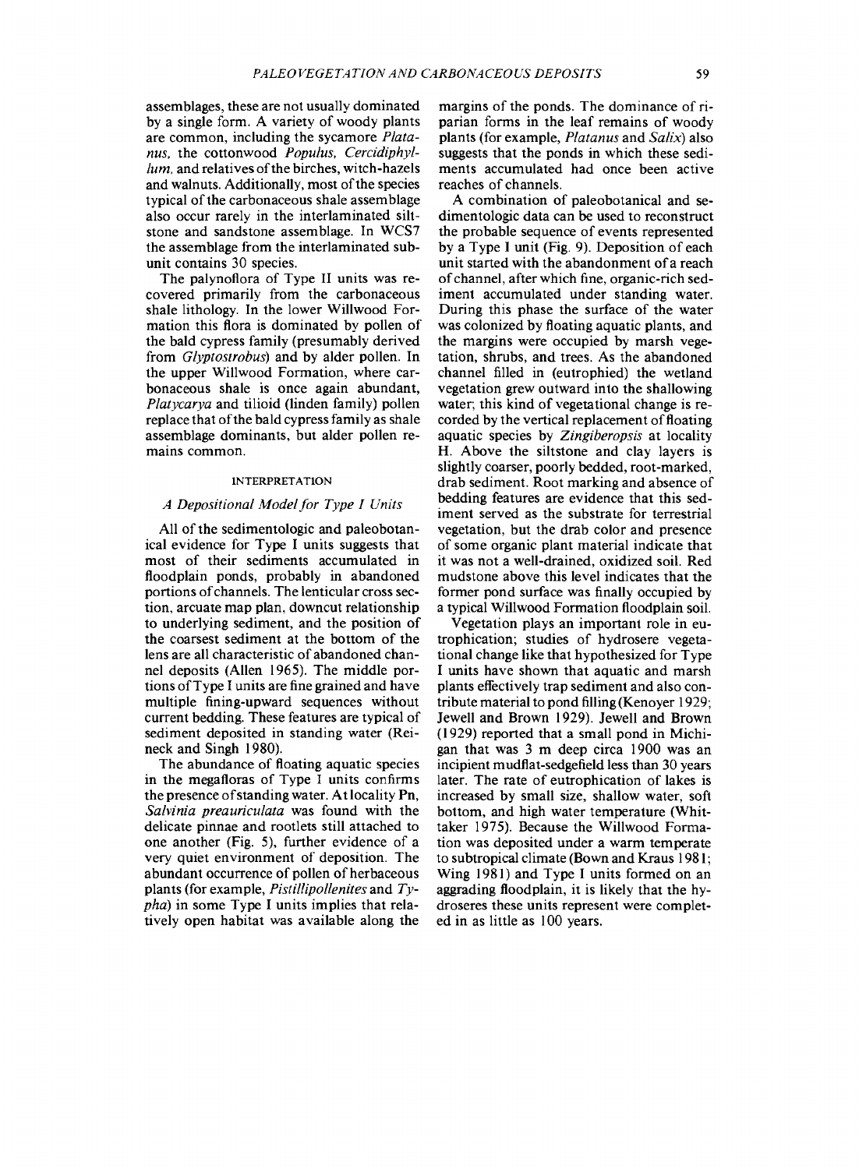assemblages, these are not usually dominated by a single form. A variety of woody plants are common, including the sycamore *Platanus,* the cottonwood *Populus, Cercidiphyllum*, and relatives of the birches, witch-hazels and walnuts. Additionally, most of the species typical of the carbonaceous shale assemblage also occur rarely in the interlaminated siltstone and sandstone assemblage. In WCS7 the assemblage from the interlaminated subunit contains 30 species.

The palynoflora of Type II units was recovered primarily from the carbonaceous shale lithology. In the lower Willwood Formation this flora is dominated by pollen of the bald cypress family (presumably derived from *Glyptosirobus)* and by alder pollen. In the upper Willwood Formation, where carbonaceous shale is once again abundant, *Platycarya* and tilioid (linden family) pollen replace that of the bald cypress family as shale assemblage dominants, but alder pollen remains common.

### INTERPRETATION

### *A Depositional Modelfor Type I Units*

All of the sedimentologic and paleobotanical evidence for Type I units suggests that most of their sediments accumulated in floodplain ponds, probably in abandoned portions of channels. The lenticular cross section, arcuate map plan, downcut relationship to underlying sediment, and the position of the coarsest sediment at the bottom of the lens are all characteristic of abandoned channel deposits (Allen 1965). The middle portions ofType I units are fine grained and have multiple fining-upward sequences without current bedding. These features are typical of sediment deposited in standing water (Reineck and Singh 1980).

The abundance of floating aquatic species in the megafloras of Type I units confirms the presence ofstanding water. Atlocality Pn, *Salvinia preauriculata* was found with the delicate pinnae and rootlets still attached to one another (Fig. 5), further evidence of a very quiet environment of deposition. The abundant occurrence of pollen of herbaceous plants (for example, *Pistillipollenites* and *Typha)* in some Type I units implies that relatively open habitat was available along the margins of the ponds. The dominance of riparian forms in the leaf remains of woody plants (for example, *Platanus* and *Salix)* also suggests that the ponds in which these sediments accumulated had once been active reaches of channels.

A combination of paleobotanical and sedimentologic data can be used to reconstruct the probable sequence of events represented by a Type I unit (Fig. 9). Deposition of each unit started with the abandonment of a reach of channel, after which fine, organic-rich sediment accumulated under standing water. During this phase the surface of the water was colonized by floating aquatic plants, and the margins were occupied by marsh vegetation, shrubs, and trees. As the abandoned channel filled in (eutrophied) the wetland vegetation grew outward into the shallowing water; this kind of vegetational change is recorded by the vertical replacement of floating aquatic species by *Zingiberopsis* at locality H. Above the siltstone and clay layers is slightly coarser, poorly bedded, root-marked, drab sediment. Root marking and absence of bedding features are evidence that this sediment served as the substrate for terrestrial vegetation, but the drab color and presence of some organic plant material indicate that it was not a well-drained, oxidized soil. Red mudstone above this level indicates that the former pond surface was finally occupied by a typical Willwood Formation floodplain soil.

Vegetation plays an important role in eutrophication; studies of hydrosere vegetational change like that hypothesized for Type I units have shown that aquatic and marsh plants effectively trap sediment and also contribute material to pond filling (Kenoyer 1929; Jewell and Brown 1929). Jewell and Brown (1929) reported that a small pond in Michigan that was 3 m deep circa 1900 was an incipient mudflat-sedgefield less than 30 years later. The rate of eutrophication of lakes is increased by small size, shallow water, soft bottom, and high water temperature (Whittaker 1975). Because the Willwood Formation was deposited under a warm temperate to subtropical climate (Bown and Kraus 1981; Wing 1981) and Type I units formed on an aggrading floodplain, it is likely that the hydroseres these units represent were completed in as little as 100 years.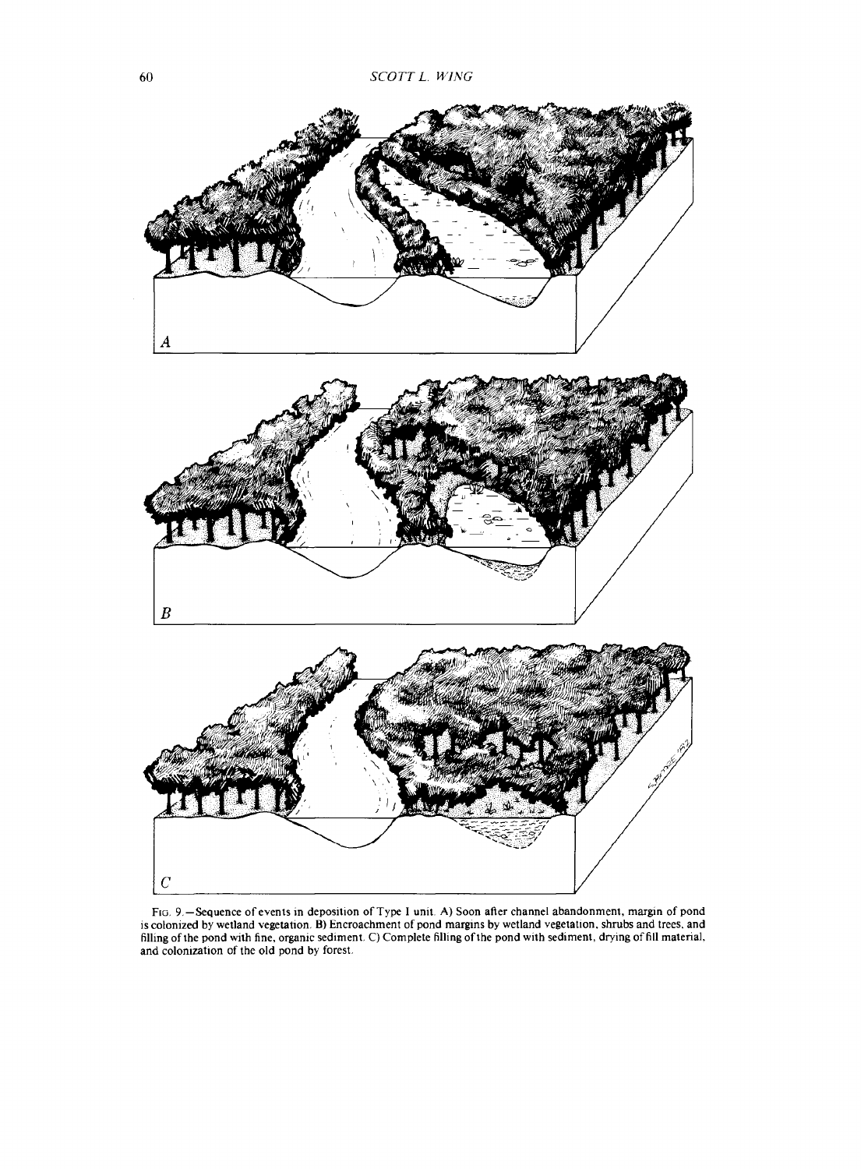

FIG. 9.—Sequence of events in deposition of Type I unit. A) Soon after channel abandonment, margin of pond is colonized by wetland vegetation. B) Encroachment of pond margins by wetland vegetation, shrubs and trees, and filling ofthe pond with fine, organic sediment. C) Complete filling ofthe pond with sediment, drying of fill material, and colonization of the old pond by forest.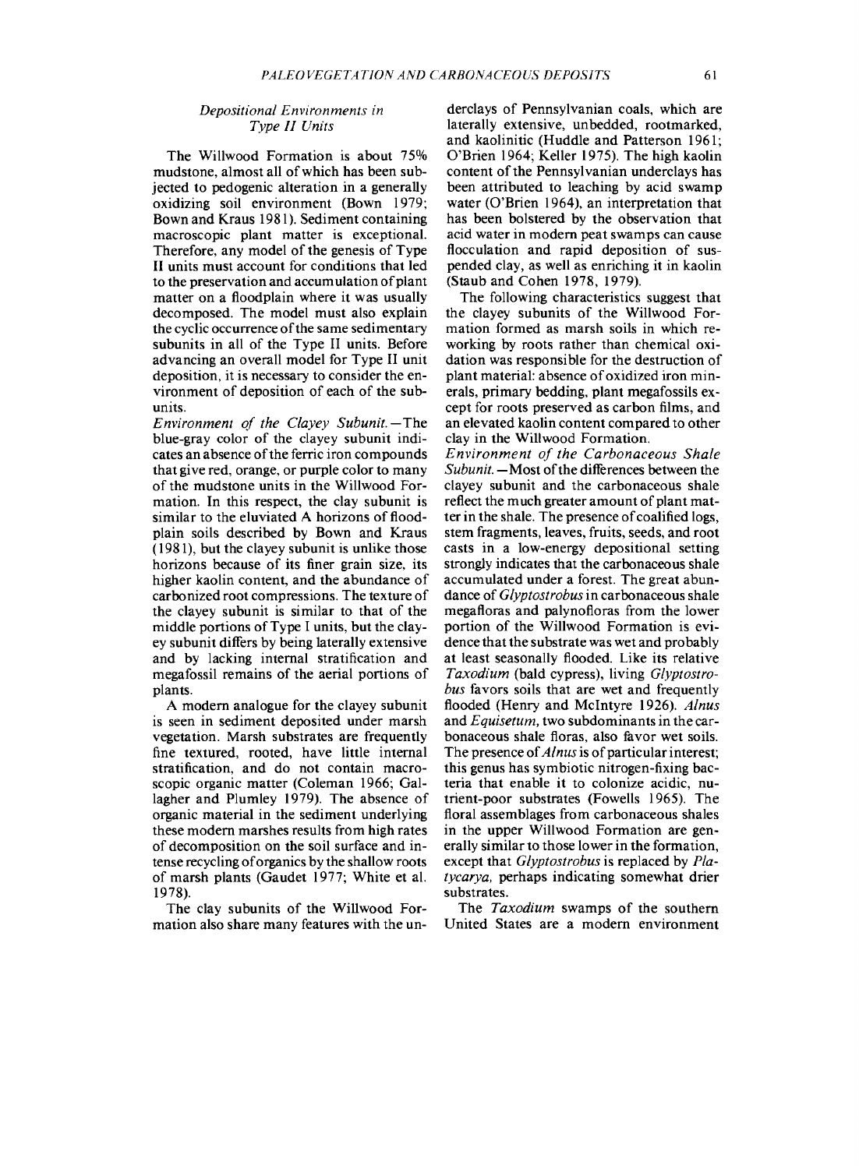## *Depositional Environments in Type II Units*

The Willwood Formation is about 75% mudstone, almost all of which has been subjected to pedogenic alteration in a generally oxidizing soil environment (Bown 1979; Bown and Kraus 1981). Sediment containing macroscopic plant matter is exceptional. Therefore, any model of the genesis of Type II units must account for conditions that led to the preservation and accumulation of plant matter on a floodplain where it was usually decomposed. The model must also explain the cyclic occurrence of the same sedimentary subunits in all of the Type II units. Before advancing an overall model for Type II unit deposition, it is necessary to consider the environment of deposition of each of the subunits.

*Environment of the Clayey Subunit.—The* blue-gray color of the clayey subunit indicates an absence of the ferric iron compounds that give red, orange, or purple color to many of the mudstone units in the Willwood Formation. In this respect, the clay subunit is similar to the eluviated A horizons of floodplain soils described by Bown and Kraus (1981), but the clayey subunit is unlike those horizons because of its finer grain size, its higher kaolin content, and the abundance of carbonized root compressions. The texture of the clayey subunit is similar to that of the middle portions of Type I units, but the clayey subunit differs by being laterally extensive and by lacking internal stratification and megafossil remains of the aerial portions of plants.

A modern analogue for the clayey subunit is seen in sediment deposited under marsh vegetation. Marsh substrates are frequently fine textured, rooted, have little internal stratification, and do not contain macroscopic organic matter (Coleman 1966; Gallagher and Plumley 1979). The absence of organic material in the sediment underlying these modern marshes results from high rates of decomposition on the soil surface and intense recycling oforganics by the shallow roots of marsh plants (Gaudet 1977; White et al. 1978).

The clay subunits of the Willwood Formation also share many features with the underclays of Pennsylvanian coals, which are laterally extensive, unbedded, rootmarked, and kaolinitic (Huddle and Patterson 1961; O'Brien 1964; Keller 1975). The high kaolin content of the Pennsylvanian underclays has been attributed to leaching by acid swamp water (O'Brien 1964), an interpretation that has been bolstered by the observation that acid water in modern peat swamps can cause flocculation and rapid deposition of suspended clay, as well as enriching it in kaolin (Staub and Cohen 1978, 1979).

The following characteristics suggest that the clayey subunits of the Willwood Formation formed as marsh soils in which reworking by roots rather than chemical oxidation was responsible for the destruction of plant material: absence of oxidized iron minerals, primary bedding, plant megafossils except for roots preserved as carbon films, and an elevated kaolin content compared to other clay in the Willwood Formation.

*Environment of the Carbonaceous Shale Subunit.* - Most of the differences between the clayey subunit and the carbonaceous shale reflect the much greater amount of plant matter in the shale. The presence of coalified logs, stem fragments, leaves, fruits, seeds, and root casts in a low-energy depositional setting strongly indicates that the carbonaceous shale accumulated under a forest. The great abundance of *Glyptostrobus* in carbonaceous shale megafloras and palynofloras from the lower portion of the Willwood Formation is evidence that the substrate was wet and probably at least seasonally flooded. Like its relative *Taxodium* (bald cypress), living *Glyptostrobus* favors soils that are wet and frequently flooded (Henry and Mclntyre 1926). *Alnus* and *Equisetum,* two subdominants in the carbonaceous shale floras, also favor wet soils. The presence of *Alnus* is of particular interest; this genus has symbiotic nitrogen-fixing bacteria that enable it to colonize acidic, nutrient-poor substrates (Fowells 1965). The floral assemblages from carbonaceous shales in the upper Willwood Formation are generally similar to those lower in the formation, except that *Glyptostrobus* is replaced by *Platycarya,* perhaps indicating somewhat drier substrates.

The *Taxodium* swamps of the southern United States are a modern environment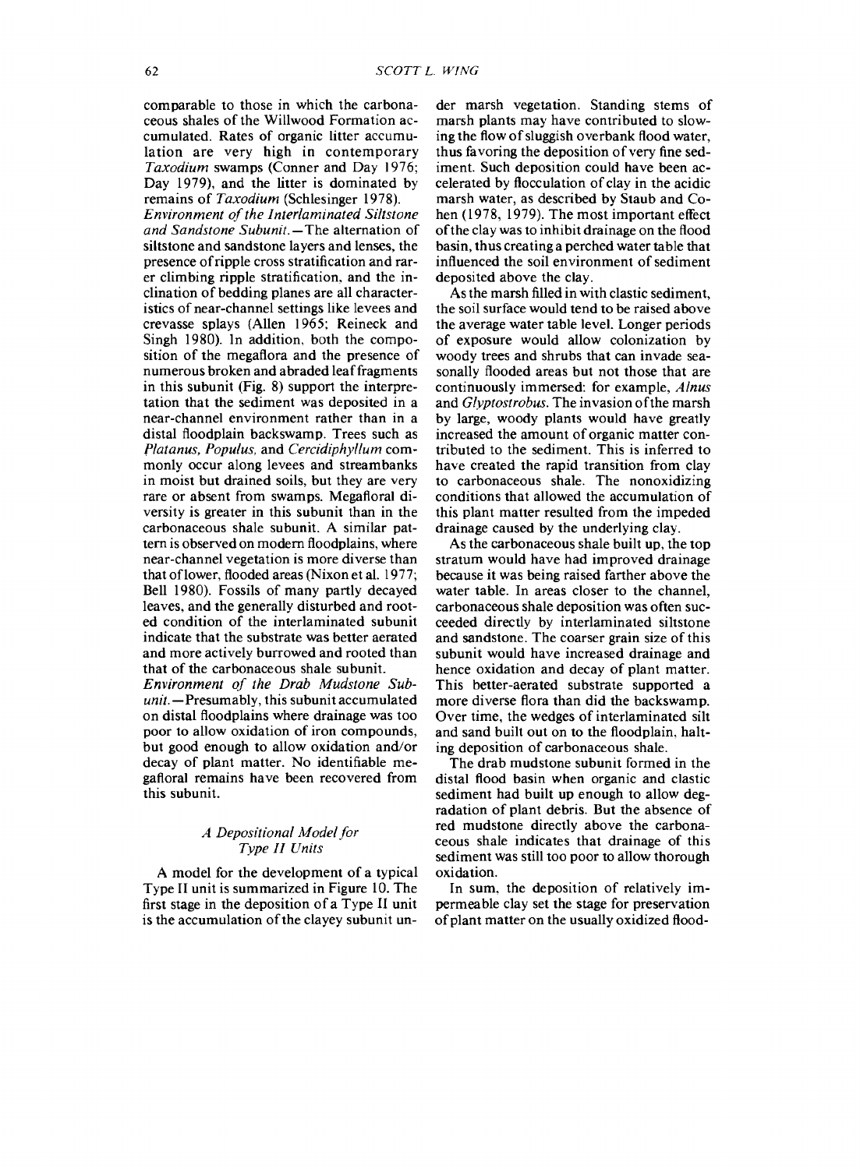comparable to those in which the carbonaceous shales of the Willwood Formation accumulated. Rates of organic litter accumulation are very high in contemporary *Taxodium* swamps (Conner and Day 1976; Day 1979), and the litter is dominated by remains of *Taxodium* (Schlesinger 1978).

*Environment ofthe Interlaminated Siltstone and Sandstone Subunit.—*The alternation of siltstone and sandstone layers and lenses, the presence ofripple cross stratification and rarer climbing ripple stratification, and the inclination of bedding planes are all characteristics of near-channel settings like levees and crevasse splays (Allen 1965; Reineck and Singh 1980). In addition, both the composition of the megaflora and the presence of numerous broken and abraded leaffragments in this subunit (Fig. 8) support the interpretation that the sediment was deposited in a near-channel environment rather than in a distal floodplain backswamp. Trees such as *Platanus, Populus,* and *Cercidiphyllum* commonly occur along levees and streambanks in moist but drained soils, but they are very rare or absent from swamps. Megafloral diversity is greater in this subunit than in the carbonaceous shale subunit. A similar pattern is observed on modern floodplains, where near-channel vegetation is more diverse than that oflower, flooded areas (Nixon et al. 1977; Bell 1980). Fossils of many partly decayed leaves, and the generally disturbed and rooted condition of the interlaminated subunit indicate that the substrate was better aerated and more actively burrowed and rooted than that of the carbonaceous shale subunit.

*Environment of the Drab Mudstone Subunit.—*Presumably, this subunit accumulated on distal floodplains where drainage was too poor to allow oxidation of iron compounds, but good enough to allow oxidation and/or decay of plant matter. No identifiable megafloral remains have been recovered from this subunit.

## *A Depositional Modelfor Type II Units*

A model for the development of a typical Type II unit is summarized in Figure 10. The first stage in the deposition of a Type II unit is the accumulation of the clayey subunit under marsh vegetation. Standing stems of marsh plants may have contributed to slowing the flow of sluggish overbank flood water, thus favoring the deposition of very fine sediment. Such deposition could have been accelerated by flocculation of clay in the acidic marsh water, as described by Staub and Cohen (1978, 1979). The most important effect ofthe clay was to inhibit drainage on the flood basin, thus creating a perched water table that influenced the soil environment of sediment deposited above the clay.

As the marsh filled in with clastic sediment, the soil surface would tend to be raised above the average water table level. Longer periods of exposure would allow colonization by woody trees and shrubs that can invade seasonally flooded areas but not those that are continuously immersed: for example, *Alnus* and *Glyptostrobus.* The invasion ofthe marsh by large, woody plants would have greatly increased the amount of organic matter contributed to the sediment. This is inferred to have created the rapid transition from clay to carbonaceous shale. The nonoxidizing conditions that allowed the accumulation of this plant matter resulted from the impeded drainage caused by the underlying clay.

As the carbonaceous shale built up, the top stratum would have had improved drainage because it was being raised farther above the water table. In areas closer to the channel, carbonaceous shale deposition was often succeeded directly by interlaminated siltstone and sandstone. The coarser grain size of this subunit would have increased drainage and hence oxidation and decay of plant matter. This better-aerated substrate supported a more diverse flora than did the backswamp. Over time, the wedges of interlaminated silt and sand built out on to the floodplain, halting deposition of carbonaceous shale.

The drab mudstone subunit formed in the distal flood basin when organic and clastic sediment had built up enough to allow degradation of plant debris. But the absence of red mudstone directly above the carbonaceous shale indicates that drainage of this sediment was still too poor to allow thorough oxidation.

In sum, the deposition of relatively impermeable clay set the stage for preservation of plant matter on the usually oxidized flood-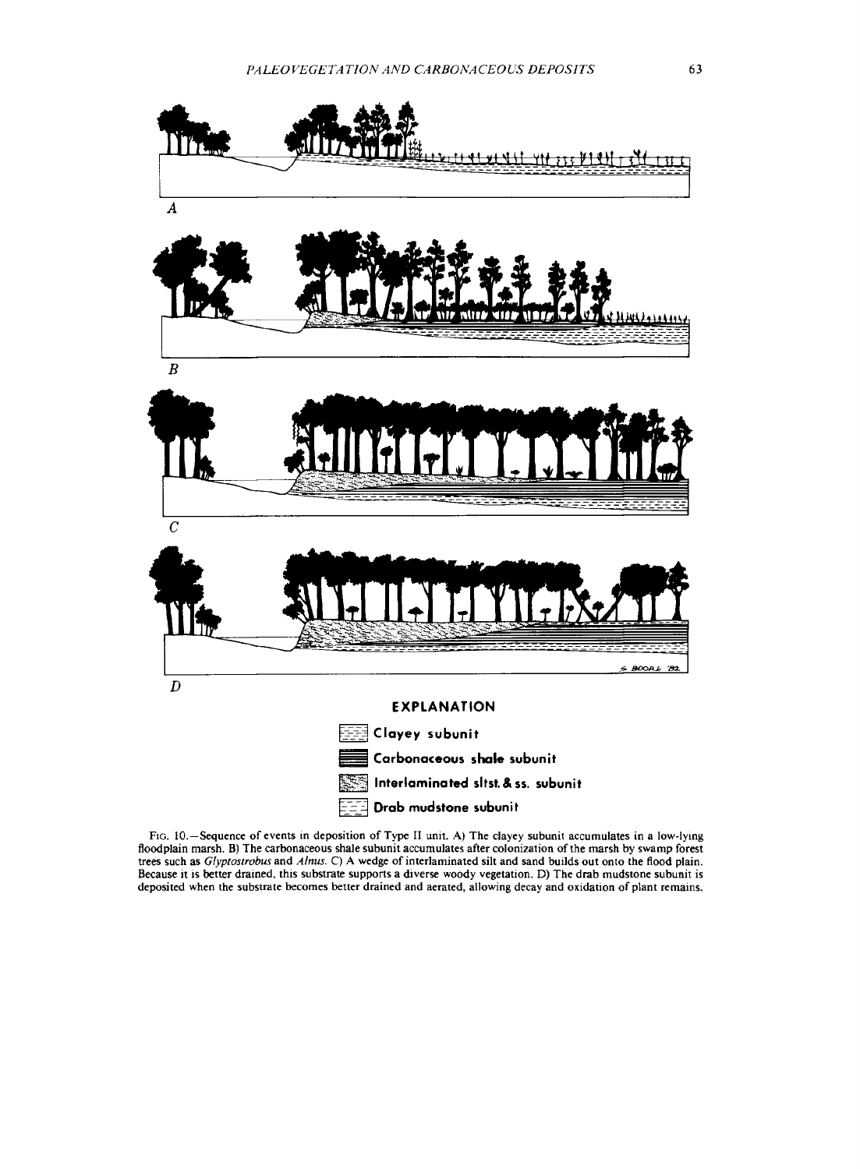

Fio. 10.—Sequence of events in deposition of Type II unit. A) The clayey subunit accumulates in a low-lying floodplain marsh. B) The carbonaceous shale subunit accumulates after colonization of the marsh by swamp forest trees such as *Glyptostrobus* and *Alnus.* C) A wedge of interlaminated silt and sand builds out onto the flood plain. Because it is better drained, this substrate supports a diverse woody vegetation. D) The drab mudstone subunit is deposited when the substrate becomes better drained and aerated, allowing decay and oxidation of plant remains.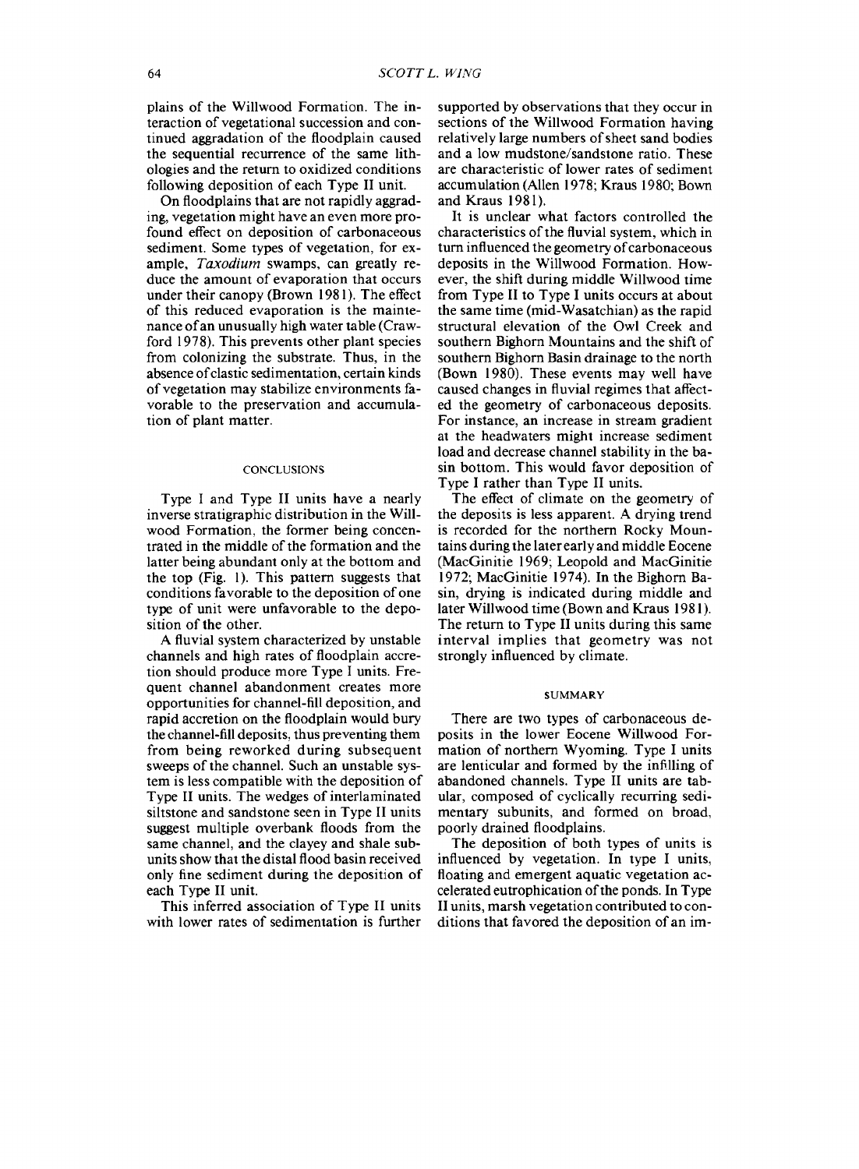plains of the Willwood Formation. The interaction of vegetational succession and continued aggradation of the floodplain caused the sequential recurrence of the same lithologies and the return to oxidized conditions following deposition of each Type II unit.

On floodplains that are not rapidly aggrading, vegetation might have an even more profound effect on deposition of carbonaceous sediment. Some types of vegetation, for example, *Taxodium* swamps, can greatly reduce the amount of evaporation that occurs under their canopy (Brown 1981). The effect of this reduced evaporation is the maintenance ofan unusually high water table (Crawford 1978). This prevents other plant species from colonizing the substrate. Thus, in the absence of clastic sedimentation, certain kinds of vegetation may stabilize environments favorable to the preservation and accumulation of plant matter.

#### **CONCLUSIONS**

Type <sup>I</sup> and Type II units have a nearly inverse stratigraphic distribution in the Willwood Formation, the former being concentrated in the middle of the formation and the latter being abundant only at the bottom and the top (Fig. 1). This pattern suggests that conditions favorable to the deposition of one type of unit were unfavorable to the deposition of the other.

A fluvial system characterized by unstable channels and high rates of floodplain accretion should produce more Type <sup>I</sup> units. Frequent channel abandonment creates more opportunities for channel-fill deposition, and rapid accretion on the floodplain would bury the channel-fill deposits, thus preventing them from being reworked during subsequent sweeps of the channel. Such an unstable system is less compatible with the deposition of Type II units. The wedges of interlaminated siltstone and sandstone seen in Type II units suggest multiple overbank floods from the same channel, and the clayey and shale subunits show that the distal flood basin received only fine sediment during the deposition of each Type II unit.

This inferred association of Type II units with lower rates of sedimentation is further

supported by observations that they occur in sections of the Willwood Formation having relatively large numbers of sheet sand bodies and a low mudstone/sandstone ratio. These are characteristic of lower rates of sediment accumulation (Allen 1978; Kraus 1980; Bown and Kraus 1981).

It is unclear what factors controlled the characteristics of the fluvial system, which in turn influenced the geometry of carbonaceous deposits in the Willwood Formation. However, the shift during middle Willwood time from Type II to Type I units occurs at about the same time (mid-Wasatchian) as the rapid structural elevation of the Owl Creek and southern Bighorn Mountains and the shift of southern Bighorn Basin drainage to the north (Bown 1980). These events may well have caused changes in fluvial regimes that affected the geometry of carbonaceous deposits. For instance, an increase in stream gradient at the headwaters might increase sediment load and decrease channel stability in the basin bottom. This would favor deposition of Type I rather than Type II units.

The effect of climate on the geometry of the deposits is less apparent. A drying trend is recorded for the northern Rocky Mountains during the later early and middle Eocene (MacGinitie 1969; Leopold and MacGinitie 1972; MacGinitie 1974). In the Bighorn Basin, drying is indicated during middle and later Willwood time (Bown and Kraus 1981). The return to Type II units during this same interval implies that geometry was not strongly influenced by climate.

#### **SUMMARY**

There are two types of carbonaceous deposits in the lower Eocene Willwood Formation of northern Wyoming. Type I units are lenticular and formed by the infilling of abandoned channels. Type II units are tabular, composed of cyclically recurring sedimentary subunits, and formed on broad, poorly drained floodplains.

The deposition of both types of units is influenced by vegetation. In type I units, floating and emergent aquatic vegetation accelerated eutrophication of the ponds. In Type II units, marsh vegetation contributed to conditions that favored the deposition of an im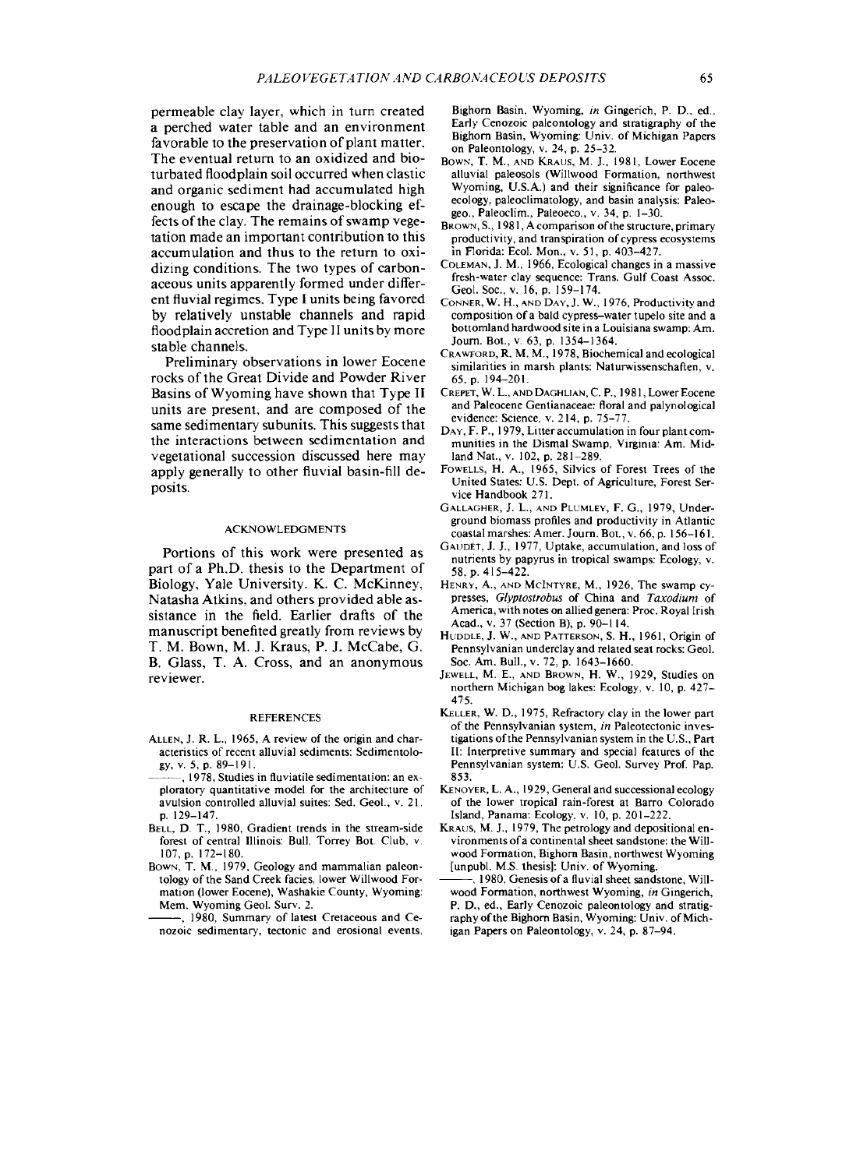permeable clay layer, which in turn created a perched water table and an environment favorable to the preservation of plant matter. The eventual return to an oxidized and bioturbated floodplain soil occurred when clastic and organic sediment had accumulated high enough to escape the drainage-blocking effects of the clay. The remains of swamp vegetation made an important contribution to this accumulation and thus to the return to oxidizing conditions. The two types of carbonaceous units apparently formed under different fluvial regimes, Type I units being favored by relatively unstable channels and rapid floodplain accretion and Type II units by more stable channels.

Preliminary observations in lower Eocene rocks of the Great Divide and Powder River Basins of Wyoming have shown that Type II units are present, and are composed of the same sedimentary subunits. This suggests that the interactions between sedimentation and vegetational succession discussed here may apply generally to other fluvial basin-fill deposits.

#### ACKNOWLEDGMENTS

Portions of this work were presented as part of a Ph.D. thesis to the Department of Biology, Yale University. K. C. McKinney, Natasha Atkins, and others provided able assistance in the field. Earlier drafts of the manuscript benefited greatly from reviews by T. M. Bown, M. J. Kraus, P. J. McCabe, G. B. Glass, T. A. Cross, and an anonymous reviewer.

#### REFERENCES

- ALLEN, J. R. L., 1965, A review of the origin and characteristics of recent alluvial sediments: Sedimentology, v. 5, p. 89-191.
- , 1978, Studies in fluviatile sedimentation: an exploratory quantitative model for the architecture of avulsion controlled alluvial suites: Sed. Geol., v. 21, p. 129-147.
- BELL, D. T., 1980, Gradient trends in the stream-side forest of central Illinois: Bull. Torrey Bot. Club, v. 107, p. 172-180.
- BOWN, T. M., 1979, Geology and mammalian paleontology of the Sand Creek facies, lower Willwood Formation (lower Eocene), Washakie County, Wyoming: Mem. Wyoming Geol. Surv. 2.
- , 1980, Summary of latest Cretaceous and Cenozoic sedimentary, tectonic and erosional events,

Bighorn Basin, Wyoming, *in* Gingerich, P. D, ed.. Early Cenozoic paleontology and stratigraphy of the Bighorn Basin, Wyoming: Univ. of Michigan Papers on Paleontology, v. 24, p. 25-32.

- BOWN, T. M., AND KRAUS, M. J., 1981, Lower Eocene alluvial paleosols (Willwood Formation, northwest Wyoming, U.S.A.) and their significance for paleoecology, paleoclimatology, and basin analysis: Paleogeo., Paleoclim., Paleoeco., v. 34, p. 1-30.
- BROWN, S., 1981, A comparison of the structure, primary productivity, and transpiration of cypress ecosystems in Florida: Ecol. Mon., v. 51, p. 403-427.
- COLEMAN, J. M., 1966, Ecological changes in a massive fresh-water clay sequence: Trans. Gulf Coast Assoc. Geol. Soc, v. 16, p. 159-174.
- CONNER, W. H., AND DAY, J. W., 1976, Productivity and composition of a bald cypress-water tupelo site and a bottomland hardwood site in a Louisiana swamp: Am. Journ. Bot., v. 63, p. 1354-1364.
- CRAWFORD, R. M. M., 1978, Biochemical and ecological similarities in marsh plants: Naturwissenschaften, v. 65, p. 194-201.
- CREPET, W. L., AND DAGHLIAN, C. P., 1981, Lower Eocene and Paleocene Gentianaceae: floral and palynological evidence: Science, v. 214, p. 75-77.
- DAY, F. P., 1979, Litter accumulation in four plant communities in the Dismal Swamp, Virginia: Am. Midland Nat., v. 102, p. 281-289.
- FOWELLS, H. A., 1965, Silvics of Forest Trees of the United States: U.S. Dept. of Agriculture, Forest Service Handbook 271.
- GALLAGHER, J. L., AND PLUMLEY, F. G., 1979, Underground biomass profiles and productivity in Atlantic coastal marshes: Amer. Journ. Bot., v. 66, p. 156-161.
- GAUDET, J. J., 1977, Uptake, accumulation, and loss of nutrients by papyrus in tropical swamps: Ecology, v. 58, p. 415-422.
- HENRY, A., AND MCINTYRE, M., 1926, The swamp cypresses, *Glyptostrobus* of China and *Taxodium* of America, with notes on allied genera: Proc. Royal Irish Acad., v. 37 (Section B), p. 90-114.
- HUDDLE, J. W., AND PATTERSON, S. H., 1961, Origin of Pennsylvanian underclay and related seat rocks: Geol. Soc. Am. Bull., v. 72, p. 1643-1660.
- JEWELL, M. E., AND BROWN, H. W., 1929, Studies on northern Michigan bog lakes: Ecology, v. 10, p. 427- 475.
- KELLER, W. D., 1975, Refractory clay in the lower part of the Pennsylvanian system, *in* Paleotectonic investigations of the Pennsylvanian system in the U.S., Part II: Interpretive summary and special features of the Pennsylvanian system: U.S. Geol. Survev Prof. Pap. 853.
- KENOYER, L. A., 1929, General and successional ecology of the lower tropical rain-forest at Barro Colorado Island, Panama: Ecology, v. 10, p. 201-222.
- KRAUS, M. J., 1979, The petrology and depositional environments of a continental sheet sandstone: the Willwood Formation, Bighorn Basin, northwest Wyoming [unpubl. M.S. thesis]: Univ. of Wyoming.
- 1980, Genesis of a fluvial sheet sandstone, Willwood Formation, northwest Wyoming, *in* Gingerich, P. D., ed., Early Cenozoic paleontology and stratigraphy of the Bighorn Basin, Wyoming: Univ. of Michigan Papers on Paleontology, v. 24, p. 87-94.